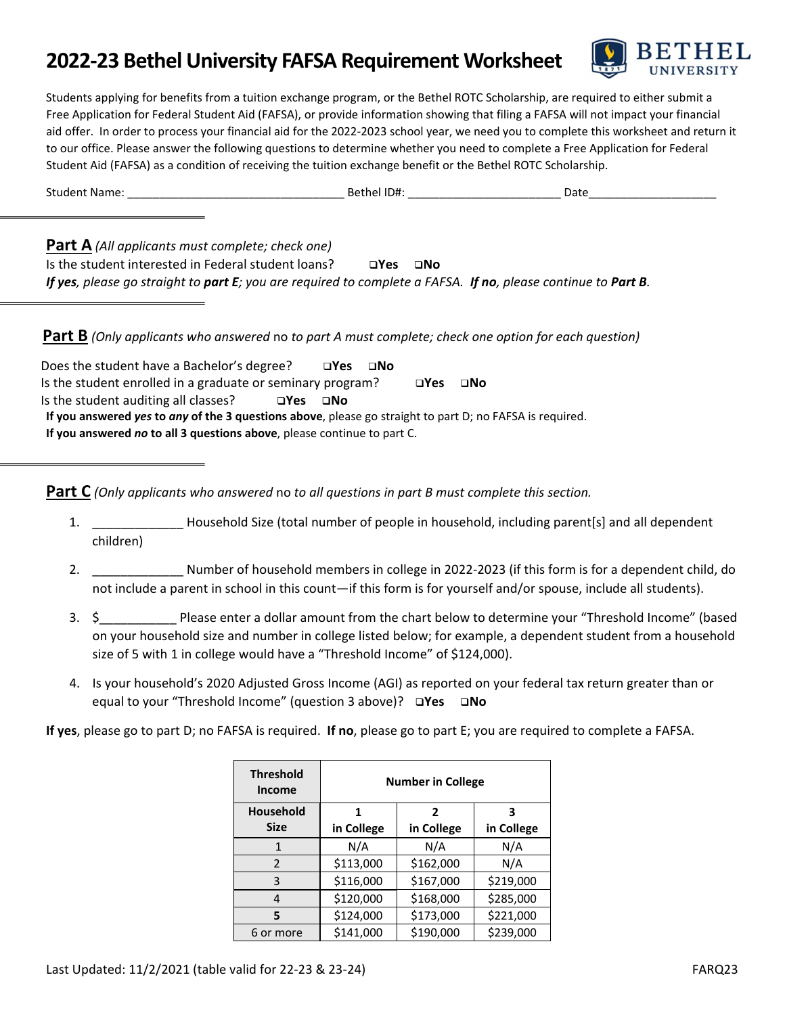## **2022-23 Bethel University FAFSA Requirement Worksheet**



Students applying for benefits from a tuition exchange program, or the Bethel ROTC Scholarship, are required to either submit a Free Application for Federal Student Aid (FAFSA), or provide information showing that filing a FAFSA will not impact your financial aid offer. In order to process your financial aid for the 2022‐2023 school year, we need you to complete this worksheet and return it to our office. Please answer the following questions to determine whether you need to complete a Free Application for Federal Student Aid (FAFSA) as a condition of receiving the tuition exchange benefit or the Bethel ROTC Scholarship.

| Student Name:                                                                                                 | Bethel ID#:          | Date         |  |
|---------------------------------------------------------------------------------------------------------------|----------------------|--------------|--|
|                                                                                                               |                      |              |  |
|                                                                                                               |                      |              |  |
| <b>Part A</b> (All applicants must complete; check one)                                                       |                      |              |  |
| Is the student interested in Federal student loans?                                                           | $\square$ Yes<br>⊡No |              |  |
| If yes, please go straight to part E; you are required to complete a FAFSA. If no, please continue to Part B. |                      |              |  |
|                                                                                                               |                      |              |  |
|                                                                                                               |                      |              |  |
|                                                                                                               |                      |              |  |
| <b>Part B</b> (Only applicants who answered no to part A must complete; check one option for each question)   |                      |              |  |
| Does the student have a Bachelor's degree?<br>$\square$ Yes                                                   | $\square$ No         |              |  |
| Is the student enrolled in a graduate or seminary program?                                                    | $\square$ Yes        | $\square$ No |  |
| Is the student auditing all classes?<br>$\square$ Yes<br>⊡No                                                  |                      |              |  |
|                                                                                                               |                      |              |  |

**If you answered** *no* **to all 3 questions above**, please continue to part C.

**Part C** *(Only applicants who answered* no *to all questions in part B must complete this section.*

- 1. \_\_\_\_\_\_\_\_\_\_\_\_\_ Household Size (total number of people in household, including parent[s] and all dependent children)
- 2. \_\_\_\_\_\_\_\_\_\_\_\_\_\_ Number of household members in college in 2022-2023 (if this form is for a dependent child, do not include a parent in school in this count—if this form is for yourself and/or spouse, include all students).
- 3. \$\_\_\_\_\_\_\_\_\_\_\_ Please enter a dollar amount from the chart below to determine your "Threshold Income" (based on your household size and number in college listed below; for example, a dependent student from a household size of 5 with 1 in college would have a "Threshold Income" of \$124,000).
- 4. Is your household's 2020 Adjusted Gross Income (AGI) as reported on your federal tax return greater than or equal to your "Threshold Income" (question 3 above)? **Yes No**

**If yes**, please go to part D; no FAFSA is required. **If no**, please go to part E; you are required to complete a FAFSA.

| <b>Threshold</b><br>Income | <b>Number in College</b> |            |            |  |
|----------------------------|--------------------------|------------|------------|--|
| Household                  |                          | 2          | 3          |  |
| <b>Size</b>                | in College               | in College | in College |  |
| 1                          | N/A                      | N/A        | N/A        |  |
| 2                          | \$113,000                | \$162,000  | N/A        |  |
| 3                          | \$116,000                | \$167,000  | \$219,000  |  |
| 4                          | \$120,000                | \$168,000  | \$285,000  |  |
| 5                          | \$124,000                | \$173,000  | \$221,000  |  |
| 6 or more                  | \$141,000                | \$190,000  | \$239,000  |  |